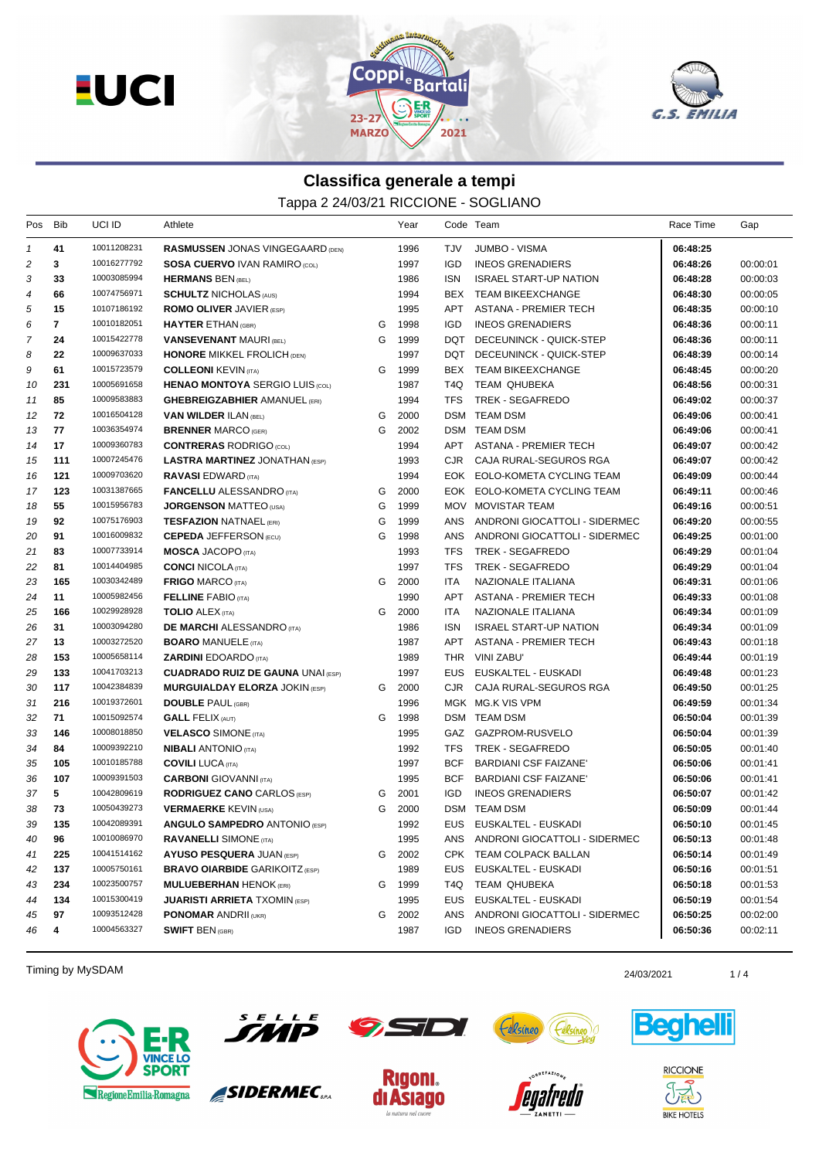



## **Classifica generale a tempi**

Tappa 2 24/03/21 RICCIONE - SOGLIANO

| Pos            | Bib          | UCI ID      | Athlete                                  |   | Year |            | Code Team                         | Race Time | Gap      |
|----------------|--------------|-------------|------------------------------------------|---|------|------------|-----------------------------------|-----------|----------|
| $\mathcal I$   | 41           | 10011208231 | <b>RASMUSSEN JONAS VINGEGAARD (DEN)</b>  |   | 1996 | TJV        | JUMBO - VISMA                     | 06:48:25  |          |
| 2              | 3            | 10016277792 | <b>SOSA CUERVO IVAN RAMIRO (COL)</b>     |   | 1997 | <b>IGD</b> | <b>INEOS GRENADIERS</b>           | 06:48:26  | 00:00:01 |
| 3              | 33           | 10003085994 | <b>HERMANS BEN (BEL)</b>                 |   | 1986 | <b>ISN</b> | <b>ISRAEL START-UP NATION</b>     | 06:48:28  | 00:00:03 |
| 4              | 66           | 10074756971 | <b>SCHULTZ NICHOLAS (AUS)</b>            |   | 1994 | BEX        | <b>TEAM BIKEEXCHANGE</b>          | 06:48:30  | 00:00:05 |
| 5              | 15           | 10107186192 | <b>ROMO OLIVER JAVIER (ESP)</b>          |   | 1995 | APT        | ASTANA - PREMIER TECH             | 06:48:35  | 00:00:10 |
| 6              | $\mathbf{7}$ | 10010182051 | <b>HAYTER ETHAN (GBR)</b>                | G | 1998 | IGD        | <b>INEOS GRENADIERS</b>           | 06:48:36  | 00:00:11 |
| $\overline{7}$ | 24           | 10015422778 | <b>VANSEVENANT MAURI (BEL)</b>           | G | 1999 | DQT        | DECEUNINCK - QUICK-STEP           | 06:48:36  | 00:00:11 |
| 8              | 22           | 10009637033 | <b>HONORE MIKKEL FROLICH (DEN)</b>       |   | 1997 |            | DQT DECEUNINCK - QUICK-STEP       | 06:48:39  | 00:00:14 |
| 9              | 61           | 10015723579 | <b>COLLEONI KEVIN (ITA)</b>              | G | 1999 |            | BEX TEAM BIKEEXCHANGE             | 06:48:45  | 00:00:20 |
| 10             | 231          | 10005691658 | <b>HENAO MONTOYA SERGIO LUIS (COL)</b>   |   | 1987 | T4Q        | TEAM QHUBEKA                      | 06:48:56  | 00:00:31 |
| 11             | 85           | 10009583883 | <b>GHEBREIGZABHIER AMANUEL (ERI)</b>     |   | 1994 | <b>TFS</b> | TREK - SEGAFREDO                  | 06:49:02  | 00:00:37 |
| 12             | 72           | 10016504128 | <b>VAN WILDER ILAN (BEL)</b>             | G | 2000 |            | DSM TEAM DSM                      | 06:49:06  | 00:00:41 |
| 13             | 77           | 10036354974 | <b>BRENNER MARCO (GER)</b>               | G | 2002 |            | DSM TEAM DSM                      | 06:49:06  | 00:00:41 |
| 14             | 17           | 10009360783 | <b>CONTRERAS RODRIGO (COL)</b>           |   | 1994 |            | APT ASTANA - PREMIER TECH         | 06:49:07  | 00:00:42 |
| 15             | 111          | 10007245476 | <b>LASTRA MARTINEZ JONATHAN (ESP)</b>    |   | 1993 | CJR        | CAJA RURAL-SEGUROS RGA            | 06:49:07  | 00:00:42 |
| 16             | 121          | 10009703620 | <b>RAVASI</b> EDWARD (ITA)               |   | 1994 |            | EOK EOLO-KOMETA CYCLING TEAM      | 06:49:09  | 00:00:44 |
| 17             | 123          | 10031387665 | <b>FANCELLU</b> ALESSANDRO (ITA)         | G | 2000 |            | EOK EOLO-KOMETA CYCLING TEAM      | 06:49:11  | 00:00:46 |
| 18             | 55           | 10015956783 | <b>JORGENSON MATTEO (USA)</b>            | G | 1999 |            | MOV MOVISTAR TEAM                 | 06:49:16  | 00:00:51 |
| 19             | 92           | 10075176903 | <b>TESFAZION NATNAEL (ERI)</b>           | G | 1999 | ANS        | ANDRONI GIOCATTOLI - SIDERMEC     | 06:49:20  | 00:00:55 |
| 20             | 91           | 10016009832 | <b>CEPEDA JEFFERSON (ECU)</b>            | G | 1998 | ANS        | ANDRONI GIOCATTOLI - SIDERMEC     | 06:49:25  | 00:01:00 |
| 21             | 83           | 10007733914 | <b>MOSCA JACOPO (ITA)</b>                |   | 1993 | <b>TFS</b> | TREK - SEGAFREDO                  | 06:49:29  | 00:01:04 |
| 22             | 81           | 10014404985 | <b>CONCI NICOLA (ITA)</b>                |   | 1997 | <b>TFS</b> | TREK - SEGAFREDO                  | 06:49:29  | 00:01:04 |
| 23             | 165          | 10030342489 | <b>FRIGO MARCO (ITA)</b>                 | G | 2000 | ITA        | NAZIONALE ITALIANA                | 06:49:31  | 00:01:06 |
| 24             | 11           | 10005982456 | <b>FELLINE FABIO (ITA)</b>               |   | 1990 | <b>APT</b> | ASTANA - PREMIER TECH             | 06:49:33  | 00:01:08 |
| 25             | 166          | 10029928928 | <b>TOLIO ALEX (ITA)</b>                  | G | 2000 | ITA        | NAZIONALE ITALIANA                | 06:49:34  | 00:01:09 |
| 26             | 31           | 10003094280 | <b>DE MARCHI ALESSANDRO</b> (ITA)        |   | 1986 | ISN.       | <b>ISRAEL START-UP NATION</b>     | 06:49:34  | 00:01:09 |
| 27             | 13           | 10003272520 | <b>BOARO MANUELE (ITA)</b>               |   | 1987 | APT        | ASTANA - PREMIER TECH             | 06:49:43  | 00:01:18 |
| 28             | 153          | 10005658114 | <b>ZARDINI</b> EDOARDO (ITA)             |   | 1989 | THR        | VINI ZABU'                        | 06:49:44  | 00:01:19 |
| 29             | 133          | 10041703213 | <b>CUADRADO RUIZ DE GAUNA UNAI (ESP)</b> |   | 1997 | EUS        | EUSKALTEL - EUSKADI               | 06:49:48  | 00:01:23 |
| 30             | 117          | 10042384839 | <b>MURGUIALDAY ELORZA JOKIN (ESP)</b>    | G | 2000 | CJR.       | CAJA RURAL-SEGUROS RGA            | 06:49:50  | 00:01:25 |
| 31             | 216          | 10019372601 | <b>DOUBLE PAUL (GBR)</b>                 |   | 1996 |            | MGK MG.K VIS VPM                  | 06:49:59  | 00:01:34 |
| 32             | 71           | 10015092574 | <b>GALL FELIX (AUT)</b>                  | G | 1998 |            | DSM TEAM DSM                      | 06:50:04  | 00:01:39 |
| 33             | 146          | 10008018850 | <b>VELASCO SIMONE (ITA)</b>              |   | 1995 |            | GAZ GAZPROM-RUSVELO               | 06:50:04  | 00:01:39 |
| 34             | 84           | 10009392210 | <b>NIBALI</b> ANTONIO (ITA)              |   | 1992 | TFS        | TREK - SEGAFREDO                  | 06:50:05  | 00:01:40 |
| 35             | 105          | 10010185788 | <b>COVILI LUCA (ITA)</b>                 |   | 1997 | <b>BCF</b> | BARDIANI CSF FAIZANE'             | 06:50:06  | 00:01:41 |
| 36             | 107          | 10009391503 | <b>CARBONI</b> GIOVANNI (ITA)            |   | 1995 | <b>BCF</b> | <b>BARDIANI CSF FAIZANE'</b>      | 06:50:06  | 00:01:41 |
| 37             | 5            | 10042809619 | <b>RODRIGUEZ CANO</b> CARLOS (ESP)       | G | 2001 | IGD        | <b>INEOS GRENADIERS</b>           | 06:50:07  | 00:01:42 |
| 38             | 73           | 10050439273 | <b>VERMAERKE KEVIN (USA)</b>             | G | 2000 |            | DSM TEAM DSM                      | 06:50:09  | 00:01:44 |
| 39             | 135          | 10042089391 | <b>ANGULO SAMPEDRO ANTONIO (ESP)</b>     |   | 1992 |            | EUS EUSKALTEL - EUSKADI           | 06:50:10  | 00:01:45 |
| 40             | 96           | 10010086970 | <b>RAVANELLI SIMONE</b> (ITA)            |   | 1995 |            | ANS ANDRONI GIOCATTOLI - SIDERMEC | 06:50:13  | 00:01:48 |
| 41             | 225          | 10041514162 | <b>AYUSO PESQUERA JUAN (ESP)</b>         | G | 2002 |            | CPK TEAM COLPACK BALLAN           | 06:50:14  | 00:01:49 |
| 42             | 137          | 10005750161 | <b>BRAVO OIARBIDE</b> GARIKOITZ (ESP)    |   | 1989 |            | EUS EUSKALTEL - EUSKADI           | 06:50:16  | 00:01:51 |
| 43             | 234          | 10023500757 | <b>MULUEBERHAN HENOK (ERI)</b>           | G | 1999 | T4Q        | TEAM QHUBEKA                      | 06:50:18  | 00:01:53 |
| 44             | 134          | 10015300419 | <b>JUARISTI ARRIETA TXOMIN (ESP)</b>     |   | 1995 | EUS        | EUSKALTEL - EUSKADI               | 06:50:19  | 00:01:54 |
| 45             | 97           | 10093512428 | <b>PONOMAR ANDRII (UKR)</b>              | G | 2002 | ANS        | ANDRONI GIOCATTOLI - SIDERMEC     | 06:50:25  | 00:02:00 |
| 46             | 4            | 10004563327 | <b>SWIFT BEN (GBR)</b>                   |   | 1987 | IGD.       | <b>INEOS GRENADIERS</b>           | 06:50:36  | 00:02:11 |
|                |              |             |                                          |   |      |            |                                   |           |          |

Timing by MySDAM 24/03/2021 24/03/2021 24/03/2021 24/03/2021 25





SIDERMEC<sub>SPA</sub>







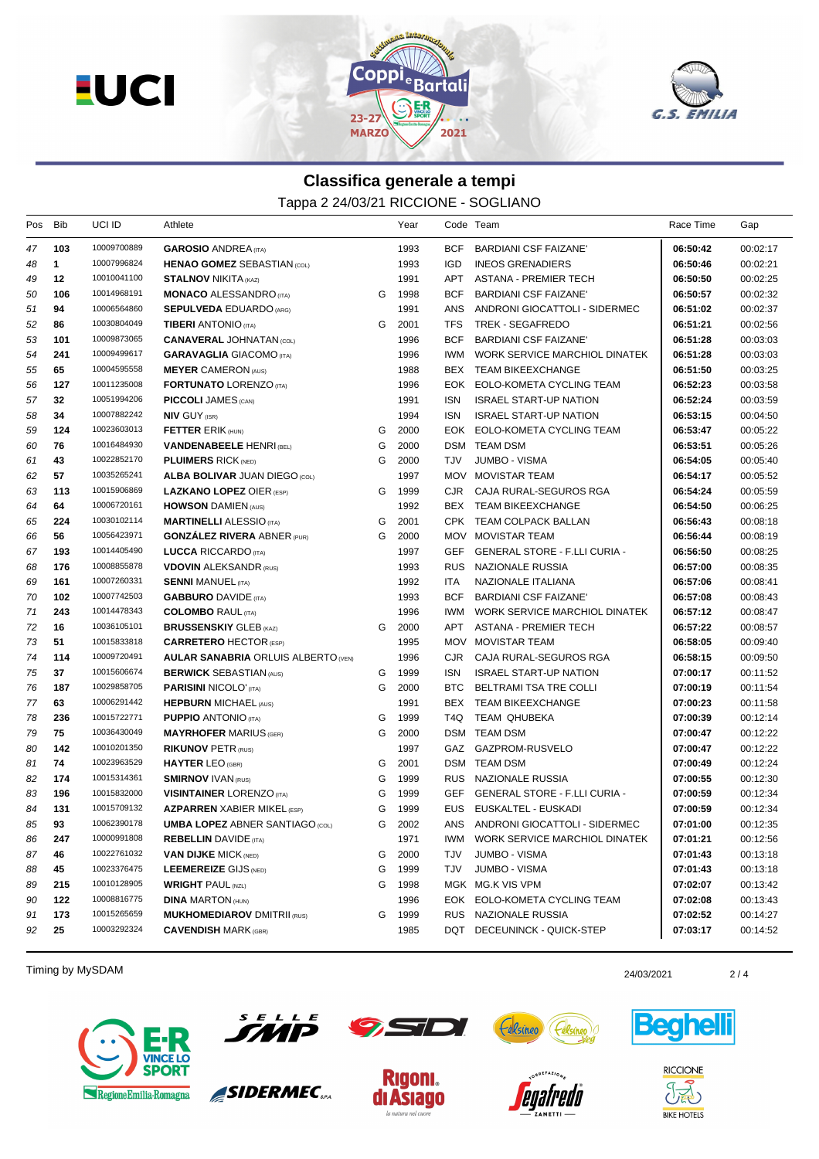



## **Classifica generale a tempi**

Tappa 2 24/03/21 RICCIONE - SOGLIANO

| Pos | Bib         | UCI ID      | Athlete                                    |   | Year |            | Code Team                            | Race Time | Gap      |
|-----|-------------|-------------|--------------------------------------------|---|------|------------|--------------------------------------|-----------|----------|
| 47  | 103         | 10009700889 | <b>GAROSIO ANDREA</b> (ITA)                |   | 1993 | <b>BCF</b> | BARDIANI CSF FAIZANE'                | 06:50:42  | 00:02:17 |
| 48  | $\mathbf 1$ | 10007996824 | <b>HENAO GOMEZ SEBASTIAN (COL)</b>         |   | 1993 | <b>IGD</b> | <b>INEOS GRENADIERS</b>              | 06:50:46  | 00:02:21 |
| 49  | 12          | 10010041100 | <b>STALNOV NIKITA (KAZ)</b>                |   | 1991 | APT        | ASTANA - PREMIER TECH                | 06:50:50  | 00:02:25 |
| 50  | 106         | 10014968191 | <b>MONACO ALESSANDRO</b> (ITA)             | G | 1998 | <b>BCF</b> | <b>BARDIANI CSF FAIZANE'</b>         | 06:50:57  | 00:02:32 |
| 51  | 94          | 10006564860 | <b>SEPULVEDA EDUARDO (ARG)</b>             |   | 1991 | ANS        | ANDRONI GIOCATTOLI - SIDERMEC        | 06:51:02  | 00:02:37 |
| 52  | 86          | 10030804049 | <b>TIBERI ANTONIO</b> (ITA)                | G | 2001 | <b>TFS</b> | TREK - SEGAFREDO                     | 06:51:21  | 00:02:56 |
| 53  | 101         | 10009873065 | <b>CANAVERAL JOHNATAN (COL)</b>            |   | 1996 | <b>BCF</b> | <b>BARDIANI CSF FAIZANE'</b>         | 06:51:28  | 00:03:03 |
| 54  | 241         | 10009499617 | <b>GARAVAGLIA GIACOMO (ITA)</b>            |   | 1996 | IWM        | WORK SERVICE MARCHIOL DINATEK        | 06:51:28  | 00:03:03 |
| 55  | 65          | 10004595558 | <b>MEYER CAMERON (AUS)</b>                 |   | 1988 |            | BEX TEAM BIKEEXCHANGE                | 06:51:50  | 00:03:25 |
| 56  | 127         | 10011235008 | <b>FORTUNATO LORENZO (ITA)</b>             |   | 1996 | EOK        | EOLO-KOMETA CYCLING TEAM             | 06:52:23  | 00:03:58 |
| 57  | 32          | 10051994206 | <b>PICCOLI JAMES (CAN)</b>                 |   | 1991 | ISN        | <b>ISRAEL START-UP NATION</b>        | 06:52:24  | 00:03:59 |
| 58  | 34          | 10007882242 | <b>NIV GUY (ISR)</b>                       |   | 1994 | <b>ISN</b> | <b>ISRAEL START-UP NATION</b>        | 06:53:15  | 00:04:50 |
| 59  | 124         | 10023603013 | <b>FETTER ERIK (HUN)</b>                   | G | 2000 |            | EOK EOLO-KOMETA CYCLING TEAM         | 06:53:47  | 00:05:22 |
| 60  | 76          | 10016484930 | <b>VANDENABEELE HENRI (BEL)</b>            | G | 2000 |            | DSM TEAM DSM                         | 06:53:51  | 00:05:26 |
| 61  | 43          | 10022852170 | <b>PLUIMERS RICK (NED)</b>                 | G | 2000 | TJV        | JUMBO - VISMA                        | 06:54:05  | 00:05:40 |
| 62  | 57          | 10035265241 | <b>ALBA BOLIVAR JUAN DIEGO (COL)</b>       |   | 1997 | <b>MOV</b> | MOVISTAR TEAM                        | 06:54:17  | 00:05:52 |
| 63  | 113         | 10015906869 | <b>LAZKANO LOPEZ OIER (ESP)</b>            | G | 1999 | CJR.       | CAJA RURAL-SEGUROS RGA               | 06:54:24  | 00:05:59 |
| 64  | 64          | 10006720161 | <b>HOWSON DAMIEN (AUS)</b>                 |   | 1992 |            | BEX TEAM BIKEEXCHANGE                | 06:54:50  | 00:06:25 |
| 65  | 224         | 10030102114 | <b>MARTINELLI ALESSIO</b> (ITA)            | G | 2001 |            | CPK TEAM COLPACK BALLAN              | 06:56:43  | 00:08:18 |
| 66  | 56          | 10056423971 | <b>GONZALEZ RIVERA ABNER (PUR)</b>         | G | 2000 |            | MOV MOVISTAR TEAM                    | 06:56:44  | 00:08:19 |
| 67  | 193         | 10014405490 | <b>LUCCA RICCARDO</b> (ITA)                |   | 1997 | GEF        | <b>GENERAL STORE - F.LLI CURIA -</b> | 06:56:50  | 00:08:25 |
| 68  | 176         | 10008855878 | <b>VDOVIN ALEKSANDR (RUS)</b>              |   | 1993 | <b>RUS</b> | NAZIONALE RUSSIA                     | 06:57:00  | 00:08:35 |
| 69  | 161         | 10007260331 | <b>SENNI MANUEL (ITA)</b>                  |   | 1992 | ITA        | NAZIONALE ITALIANA                   | 06:57:06  | 00:08:41 |
| 70  | 102         | 10007742503 | <b>GABBURO</b> DAVIDE (ITA)                |   | 1993 | <b>BCF</b> | <b>BARDIANI CSF FAIZANE'</b>         | 06:57:08  | 00:08:43 |
| 71  | 243         | 10014478343 | <b>COLOMBO</b> RAUL (ITA)                  |   | 1996 | IWM.       | WORK SERVICE MARCHIOL DINATEK        | 06:57:12  | 00:08:47 |
| 72  | 16          | 10036105101 | <b>BRUSSENSKIY GLEB (KAZ)</b>              | G | 2000 | APT        | ASTANA - PREMIER TECH                | 06:57:22  | 00:08:57 |
| 73  | 51          | 10015833818 | <b>CARRETERO HECTOR (ESP)</b>              |   | 1995 |            | MOV MOVISTAR TEAM                    | 06:58:05  | 00:09:40 |
| 74  | 114         | 10009720491 | <b>AULAR SANABRIA ORLUIS ALBERTO (VEN)</b> |   | 1996 | CJR.       | CAJA RURAL-SEGUROS RGA               | 06:58:15  | 00:09:50 |
| 75  | 37          | 10015606674 | <b>BERWICK SEBASTIAN (AUS)</b>             | G | 1999 | ISN.       | <b>ISRAEL START-UP NATION</b>        | 07:00:17  | 00:11:52 |
| 76  | 187         | 10029858705 | <b>PARISINI NICOLO' (ITA)</b>              | G | 2000 | BTC        | BELTRAMI TSA TRE COLLI               | 07:00:19  | 00:11:54 |
| 77  | 63          | 10006291442 | <b>HEPBURN MICHAEL (AUS)</b>               |   | 1991 |            | BEX TEAM BIKEEXCHANGE                | 07:00:23  | 00:11:58 |
| 78  | 236         | 10015722771 | <b>PUPPIO ANTONIO (ITA)</b>                | G | 1999 | T4Q.       | TEAM QHUBEKA                         | 07:00:39  | 00:12:14 |
| 79  | 75          | 10036430049 | <b>MAYRHOFER MARIUS (GER)</b>              | G | 2000 |            | DSM TEAM DSM                         | 07:00:47  | 00:12:22 |
| 80  | 142         | 10010201350 | <b>RIKUNOV PETR (RUS)</b>                  |   | 1997 |            | GAZ GAZPROM-RUSVELO                  | 07:00:47  | 00:12:22 |
| 81  | 74          | 10023963529 | <b>HAYTER LEO (GBR)</b>                    | G | 2001 |            | DSM TEAM DSM                         | 07:00:49  | 00:12:24 |
| 82  | 174         | 10015314361 | <b>SMIRNOV IVAN (RUS)</b>                  | G | 1999 |            | RUS NAZIONALE RUSSIA                 | 07:00:55  | 00:12:30 |
| 83  | 196         | 10015832000 | <b>VISINTAINER LORENZO (ITA)</b>           | G | 1999 |            | GEF GENERAL STORE - F.LLI CURIA -    | 07:00:59  | 00:12:34 |
| 84  | 131         | 10015709132 | <b>AZPARREN XABIER MIKEL (ESP)</b>         | G | 1999 | EUS        | EUSKALTEL - EUSKADI                  | 07:00:59  | 00:12:34 |
| 85  | 93          | 10062390178 | <b>UMBA LOPEZ ABNER SANTIAGO (COL)</b>     | G | 2002 |            | ANS ANDRONI GIOCATTOLI - SIDERMEC    | 07:01:00  | 00:12:35 |
| 86  | 247         | 10000991808 | <b>REBELLIN</b> DAVIDE (ITA)               |   | 1971 |            | IWM WORK SERVICE MARCHIOL DINATEK    | 07:01:21  | 00:12:56 |
| 87  | 46          | 10022761032 | <b>VAN DIJKE MICK (NED)</b>                | G | 2000 | TJV        | JUMBO - VISMA                        | 07:01:43  | 00:13:18 |
| 88  | 45          | 10023376475 | LEEMEREIZE GIJS (NED)                      | G | 1999 | TJV        | JUMBO - VISMA                        | 07:01:43  | 00:13:18 |
| 89  | 215         | 10010128905 | <b>WRIGHT PAUL (NZL)</b>                   | G | 1998 |            | MGK MG.K VIS VPM                     | 07:02:07  | 00:13:42 |
| 90  | 122         | 10008816775 | <b>DINA MARTON (HUN)</b>                   |   | 1996 |            | EOK EOLO-KOMETA CYCLING TEAM         | 07:02:08  | 00:13:43 |
| 91  | 173         | 10015265659 | <b>MUKHOMEDIAROV DMITRII (RUS)</b>         | G | 1999 |            | RUS NAZIONALE RUSSIA                 | 07:02:52  | 00:14:27 |
| 92  | 25          | 10003292324 | <b>CAVENDISH MARK (GBR)</b>                |   | 1985 |            | DQT DECEUNINCK - QUICK-STEP          | 07:03:17  | 00:14:52 |

Timing by MySDAM 2/4





SIDERMEC<sub>SPA</sub>





|  | ٠ |
|--|---|
|  |   |



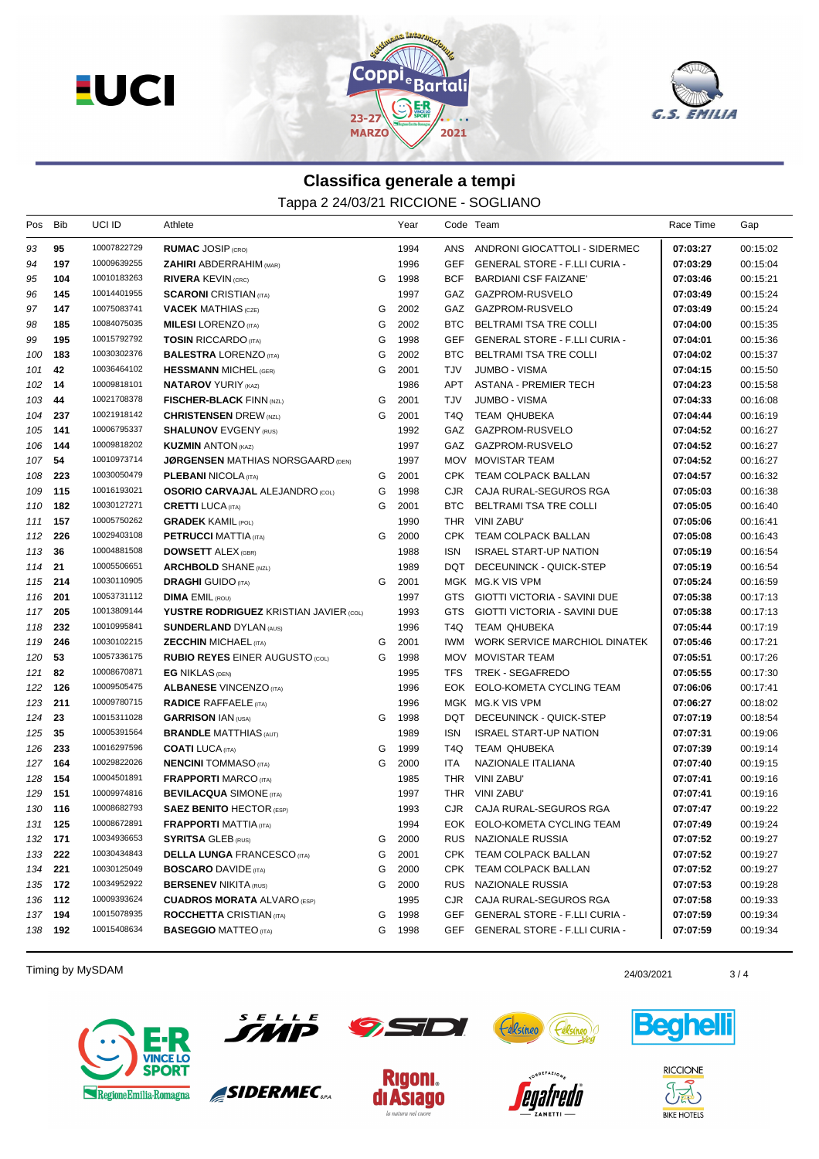



## **Classifica generale a tempi**

Tappa 2 24/03/21 RICCIONE - SOGLIANO

| Pos     | Bib     | UCI ID      | Athlete                                       |   | Year   |            | Code Team                            | Race Time | Gap      |
|---------|---------|-------------|-----------------------------------------------|---|--------|------------|--------------------------------------|-----------|----------|
| 93      | 95      | 10007822729 | <b>RUMAC JOSIP (CRO)</b>                      |   | 1994   | ANS        | ANDRONI GIOCATTOLI - SIDERMEC        | 07:03:27  | 00:15:02 |
| 94      | 197     | 10009639255 | <b>ZAHIRI</b> ABDERRAHIM (MAR)                |   | 1996   | GEF        | <b>GENERAL STORE - F.LLI CURIA -</b> | 07:03:29  | 00:15:04 |
| 95      | 104     | 10010183263 | <b>RIVERA KEVIN (CRC)</b>                     | G | 1998   | <b>BCF</b> | <b>BARDIANI CSF FAIZANE'</b>         | 07:03:46  | 00:15:21 |
| 96      | 145     | 10014401955 | <b>SCARONI</b> CRISTIAN (ITA)                 |   | 1997   | GAZ        | GAZPROM-RUSVELO                      | 07:03:49  | 00:15:24 |
| 97      | 147     | 10075083741 | <b>VACEK MATHIAS</b> (CZE)                    | G | 2002   |            | GAZ GAZPROM-RUSVELO                  | 07:03:49  | 00:15:24 |
| 98      | 185     | 10084075035 | <b>MILESI</b> LORENZO (ITA)                   | G | 2002   | BTC.       | BELTRAMI TSA TRE COLLI               | 07:04:00  | 00:15:35 |
| 99      | 195     | 10015792792 | <b>TOSIN RICCARDO (ITA)</b>                   | G | 1998   | GEF        | <b>GENERAL STORE - F.LLI CURIA -</b> | 07:04:01  | 00:15:36 |
| 100     | 183     | 10030302376 | <b>BALESTRA LORENZO (ITA)</b>                 | G | 2002   | BTC.       | BELTRAMI TSA TRE COLLI               | 07:04:02  | 00:15:37 |
| 101     | 42      | 10036464102 | <b>HESSMANN MICHEL (GER)</b>                  | G | 2001   | TJV        | <b>JUMBO - VISMA</b>                 | 07:04:15  | 00:15:50 |
| 102     | 14      | 10009818101 | <b>NATAROV YURIY (KAZ)</b>                    |   | 1986   | APT        | <b>ASTANA - PREMIER TECH</b>         | 07:04:23  | 00:15:58 |
| 103     | 44      | 10021708378 | <b>FISCHER-BLACK FINN (NZL)</b>               | G | 2001   | TJV        | <b>JUMBO - VISMA</b>                 | 07:04:33  | 00:16:08 |
| 104     | 237     | 10021918142 | <b>CHRISTENSEN DREW (NZL)</b>                 | G | 2001   | T4Q        | TEAM QHUBEKA                         | 07:04:44  | 00:16:19 |
| 105     | 141     | 10006795337 | <b>SHALUNOV EVGENY (RUS)</b>                  |   | 1992   | GAZ        | GAZPROM-RUSVELO                      | 07:04:52  | 00:16:27 |
| 106     | 144     | 10009818202 | <b>KUZMIN ANTON (KAZ)</b>                     |   | 1997   |            | GAZ GAZPROM-RUSVELO                  | 07:04:52  | 00:16:27 |
| 107     | 54      | 10010973714 | <b>JØRGENSEN MATHIAS NORSGAARD (DEN)</b>      |   | 1997   |            | MOV MOVISTAR TEAM                    | 07:04:52  | 00:16:27 |
| 108     | 223     | 10030050479 | <b>PLEBANI NICOLA</b> (ITA)                   | G | 2001   |            | CPK TEAM COLPACK BALLAN              | 07:04:57  | 00:16:32 |
| 109     | 115     | 10016193021 | <b>OSORIO CARVAJAL ALEJANDRO (COL)</b>        | G | 1998   | CJR.       | CAJA RURAL-SEGUROS RGA               | 07:05:03  | 00:16:38 |
| 110     | 182     | 10030127271 | <b>CRETTI LUCA (ITA)</b>                      | G | 2001   | BTC        | BELTRAMI TSA TRE COLLI               | 07:05:05  | 00:16:40 |
| 111     | 157     | 10005750262 | <b>GRADEK KAMIL (POL)</b>                     |   | 1990   |            | THR VINI ZABU'                       | 07:05:06  | 00:16:41 |
| 112     | 226     | 10029403108 | <b>PETRUCCI MATTIA (ITA)</b>                  | G | 2000   |            | CPK TEAM COLPACK BALLAN              | 07:05:08  | 00:16:43 |
| 113     | 36      | 10004881508 | <b>DOWSETT ALEX (GBR)</b>                     |   | 1988   | <b>ISN</b> | <b>ISRAEL START-UP NATION</b>        | 07:05:19  | 00:16:54 |
| 114     | 21      | 10005506651 | <b>ARCHBOLD SHANE (NZL)</b>                   |   | 1989   | DQT        | DECEUNINCK - QUICK-STEP              | 07:05:19  | 00:16:54 |
| 115     | 214     | 10030110905 | <b>DRAGHI</b> GUIDO (ITA)                     | G | 2001   |            | MGK MG.K VIS VPM                     | 07:05:24  | 00:16:59 |
| 116     | 201     | 10053731112 | <b>DIMA EMIL (ROU)</b>                        |   | 1997   | GTS        | <b>GIOTTI VICTORIA - SAVINI DUE</b>  | 07:05:38  | 00:17:13 |
| 117     | 205     | 10013809144 | <b>YUSTRE RODRIGUEZ KRISTIAN JAVIER (COL)</b> |   | 1993   | GTS.       | <b>GIOTTI VICTORIA - SAVINI DUE</b>  | 07:05:38  | 00:17:13 |
| 118     | 232     | 10010995841 | <b>SUNDERLAND DYLAN (AUS)</b>                 |   | 1996   | T4Q.       | TEAM QHUBEKA                         | 07:05:44  | 00:17:19 |
| 119     | 246     | 10030102215 | <b>ZECCHIN MICHAEL (ITA)</b>                  | G | 2001   | IWM        | WORK SERVICE MARCHIOL DINATEK        | 07:05:46  | 00:17:21 |
| 120     | 53      | 10057336175 | <b>RUBIO REYES EINER AUGUSTO (COL)</b>        | G | 1998   | MOV        | <b>MOVISTAR TEAM</b>                 | 07:05:51  | 00:17:26 |
| 121     | 82      | 10008670871 | <b>EG NIKLAS (DEN)</b>                        |   | 1995   | TFS.       | TREK - SEGAFREDO                     | 07:05:55  | 00:17:30 |
| 122     | 126     | 10009505475 | <b>ALBANESE VINCENZO (ITA)</b>                |   | 1996   |            | EOK EOLO-KOMETA CYCLING TEAM         | 07:06:06  | 00:17:41 |
| 123     | 211     | 10009780715 | <b>RADICE RAFFAELE</b> (ITA)                  |   | 1996   |            | MGK MG.K VIS VPM                     | 07:06:27  | 00:18:02 |
| 124     | 23      | 10015311028 | <b>GARRISON IAN (USA)</b>                     | G | 1998   |            | DQT DECEUNINCK - QUICK-STEP          | 07:07:19  | 00:18:54 |
| 125     | 35      | 10005391564 | <b>BRANDLE MATTHIAS (AUT)</b>                 |   | 1989   | <b>ISN</b> | <b>ISRAEL START-UP NATION</b>        | 07:07:31  | 00:19:06 |
| 126     | 233     | 10016297596 | <b>COATI</b> LUCA (ITA)                       | G | 1999   | T4Q.       | TEAM QHUBEKA                         | 07:07:39  | 00:19:14 |
| 127     | 164     | 10029822026 | <b>NENCINI</b> TOMMASO (ITA)                  | G | 2000   | ITA        | NAZIONALE ITALIANA                   | 07:07:40  | 00:19:15 |
| 128     | 154     | 10004501891 | <b>FRAPPORTI MARCO (ITA)</b>                  |   | 1985   | THR        | VINI ZABU'                           | 07:07:41  | 00:19:16 |
| 129     | 151     | 10009974816 | <b>BEVILACQUA SIMONE (ITA)</b>                |   | 1997   | THR        | VINI ZABU'                           | 07:07:41  | 00:19:16 |
| 130     | 116     | 10008682793 | <b>SAEZ BENITO HECTOR (ESP)</b>               |   | 1993   | CJR.       | CAJA RURAL-SEGUROS RGA               | 07:07:47  | 00:19:22 |
| 131 125 |         | 10008672891 | <b>FRAPPORTI MATTIA</b> (ITA)                 |   | 1994   |            | EOK EOLO-KOMETA CYCLING TEAM         | 07:07:49  | 00:19:24 |
| 132 171 |         | 10034936653 | <b>SYRITSA GLEB (RUS)</b>                     |   | G 2000 |            | RUS NAZIONALE RUSSIA                 | 07:07:52  | 00:19:27 |
| 133 222 |         | 10030434843 | <b>DELLA LUNGA FRANCESCO (ITA)</b>            | G | 2001   |            | CPK TEAM COLPACK BALLAN              | 07:07:52  | 00:19:27 |
| 134     | 221     | 10030125049 | <b>BOSCARO DAVIDE (ITA)</b>                   | G | 2000   |            | CPK TEAM COLPACK BALLAN              | 07:07:52  | 00:19:27 |
| 135 172 |         | 10034952922 | <b>BERSENEV NIKITA (RUS)</b>                  | G | 2000   |            | RUS NAZIONALE RUSSIA                 | 07:07:53  | 00:19:28 |
|         | 136 112 | 10009393624 | <b>CUADROS MORATA ALVARO (ESP)</b>            |   | 1995   | CJR.       | CAJA RURAL-SEGUROS RGA               | 07:07:58  | 00:19:33 |
|         | 137 194 | 10015078935 | <b>ROCCHETTA CRISTIAN (ITA)</b>               | G | 1998   | GEF        | <b>GENERAL STORE - F.LLI CURIA -</b> | 07:07:59  | 00:19:34 |
|         | 138 192 | 10015408634 | <b>BASEGGIO MATTEO (ITA)</b>                  | G | 1998   |            | GEF GENERAL STORE - F.LLI CURIA -    | 07:07:59  | 00:19:34 |

Timing by MySDAM 24/03/2021 3/4





SIDERMEC<sub>SPA</sub>